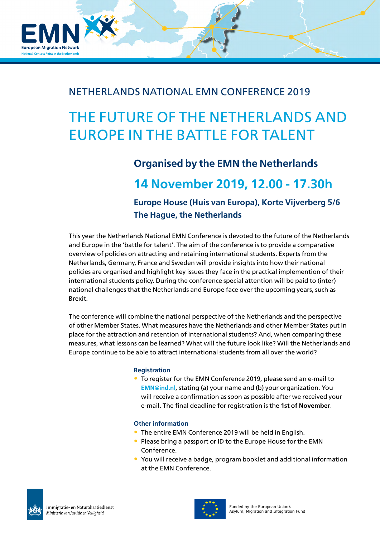

### NETHERLANDS NATIONAL EMN CONFERENCE 2019

## THE FUTURE OF THE NETHERLANDS AND EUROPE IN THE BATTLE FOR TALENT

## **Organised by the EMN the Netherlands**

**14 November 2019, 12.00 - 17.30h**

**Europe House (Huis van Europa), Korte Vijverberg 5/6 The Hague, the Netherlands**

This year the Netherlands National EMN Conference is devoted to the future of the Netherlands and Europe in the 'battle for talent'. The aim of the conference is to provide a comparative overview of policies on attracting and retaining international students. Experts from the Netherlands, Germany, France and Sweden will provide insights into how their national policies are organised and highlight key issues they face in the practical implemention of their international students policy. During the conference special attention will be paid to (inter) national challenges that the Netherlands and Europe face over the upcoming years, such as Brexit.

The conference will combine the national perspective of the Netherlands and the perspective of other Member States. What measures have the Netherlands and other Member States put in place for the attraction and retention of international students? And, when comparing these measures, what lessons can be learned? What will the future look like? Will the Netherlands and Europe continue to be able to attract international students from all over the world?

#### **Registration**

• To register for the EMN Conference 2019, please send an e-mail to **[EMN@ind.nl](mailto:EMN@ind.nl)**, stating (a) your name and (b) your organization. You will receive a confirmation as soon as possible after we received your e-mail. The final deadline for registration is the **1st of November**.

#### **Other information**

- The entire EMN Conference 2019 will be held in English.
- Please bring a passport or ID to the Europe House for the EMN Conference.
- You will receive a badge, program booklet and additional information at the EMN Conference.